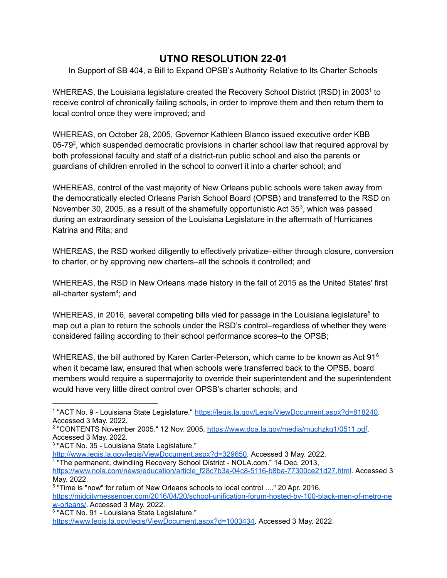## **UTNO RESOLUTION 22-01**

In Support of SB 404, a Bill to Expand OPSB's Authority Relative to Its Charter Schools

WHEREAS, the Louisiana legislature created the Recovery School District (RSD) in 2003<sup>1</sup> to receive control of chronically failing schools, in order to improve them and then return them to local control once they were improved; and

WHEREAS, on October 28, 2005, Governor Kathleen Blanco issued executive order KBB 05-79<sup>2</sup>, which suspended democratic provisions in charter school law that required approval by both professional faculty and staff of a district-run public school and also the parents or guardians of children enrolled in the school to convert it into a charter school; and

WHEREAS, control of the vast majority of New Orleans public schools were taken away from the democratically elected Orleans Parish School Board (OPSB) and transferred to the RSD on November 30, 2005, as a result of the shamefully opportunistic Act  $35<sup>3</sup>$ , which was passed during an extraordinary session of the Louisiana Legislature in the aftermath of Hurricanes Katrina and Rita; and

WHEREAS, the RSD worked diligently to effectively privatize–either through closure, conversion to charter, or by approving new charters–all the schools it controlled; and

WHEREAS, the RSD in New Orleans made history in the fall of 2015 as the United States' first all-charter system<sup>4</sup>; and

WHEREAS, in 2016, several competing bills vied for passage in the Louisiana legislature<sup>5</sup> to map out a plan to return the schools under the RSD's control–regardless of whether they were considered failing according to their school performance scores–to the OPSB;

WHEREAS, the bill authored by Karen Carter-Peterson, which came to be known as Act 91 $^6$ when it became law, ensured that when schools were transferred back to the OPSB, board members would require a supermajority to override their superintendent and the superintendent would have very little direct control over OPSB's charter schools; and

<sup>5</sup> "Time is "now" for return of New Orleans schools to local control ...." 20 Apr. 2016, [https://midcitymessenger.com/2016/04/20/school-unification-forum-hosted-by-100-black-men-of-metro-ne](https://midcitymessenger.com/2016/04/20/school-unification-forum-hosted-by-100-black-men-of-metro-new-orleans/) [w-orleans/](https://midcitymessenger.com/2016/04/20/school-unification-forum-hosted-by-100-black-men-of-metro-new-orleans/). Accessed 3 May. 2022.

[https://www.legis.la.gov/legis/ViewDocument.aspx?d=1003434.](https://www.legis.la.gov/legis/ViewDocument.aspx?d=1003434) Accessed 3 May. 2022.

<sup>&</sup>lt;sup>1</sup> "ACT No. 9 - Louisiana State Legislature." [https://legis.la.gov/Legis/ViewDocument.aspx?d=818240.](https://legis.la.gov/Legis/ViewDocument.aspx?d=818240) Accessed 3 May. 2022.

<sup>&</sup>lt;sup>2</sup> "CONTENTS November 2005." 12 Nov. 2005, <https://www.doa.la.gov/media/muchzkg1/0511.pdf>. Accessed 3 May. 2022.

<sup>3</sup> "ACT No. 35 - Louisiana State Legislature."

<http://www.legis.la.gov/legis/ViewDocument.aspx?d=329650>. Accessed 3 May. 2022.

<sup>&</sup>lt;sup>4</sup> "The permanent, dwindling Recovery School District - NOLA.com." 14 Dec. 2013,

[https://www.nola.com/news/education/article\\_f28c7b3a-04c8-5116-b8ba-77300ce21d27.html](https://www.nola.com/news/education/article_f28c7b3a-04c8-5116-b8ba-77300ce21d27.html). Accessed 3 May. 2022.

<sup>6</sup> "ACT No. 91 - Louisiana State Legislature."